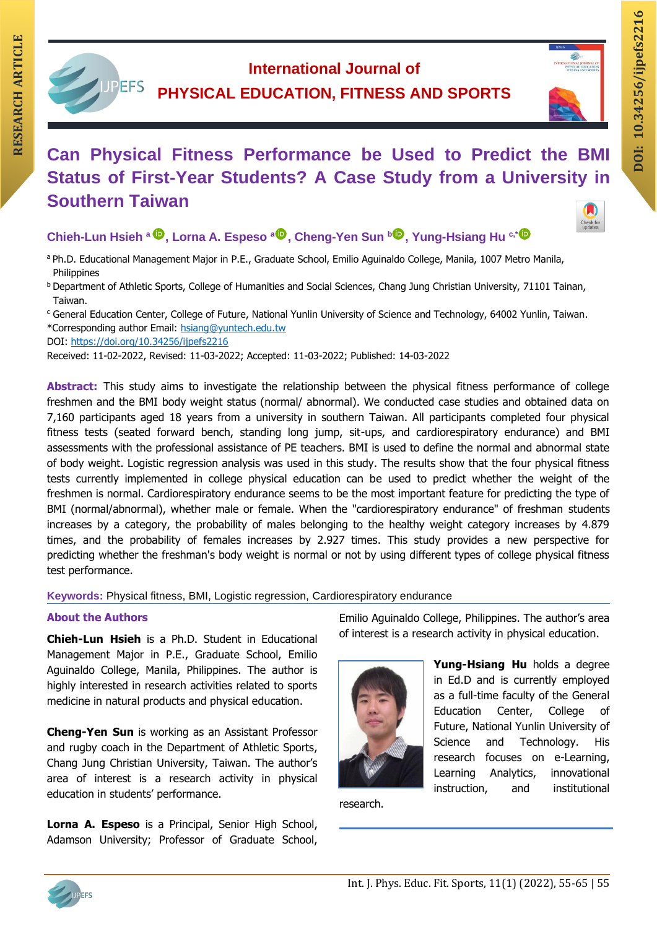## **International Journal of PHYSICAL EDUCATION, FITNESS AND SPORTS RESEARCH ARTICLE INTERNATION CAN ARTICLE CAN PHYSICAL EDUCATION, FITNESS AND SPORTS**<br>
Can Physical Fitness Performance be Used to Predict the BMI and all product the BMI



Check for<br>updates

# **RESEARCH ARTICLE Status of First-Year Students? A Case Study from a University in Southern Taiwan**

### **Chieh-Lun Hsieh <sup>a</sup> , Lorna A. Espeso [a](https://orcid.org/0000-0002-7315-8517) , Cheng-Yen Sun [b](https://orcid.org/0000-0002-7359-3922) , Yung-Hsiang Hu c,\***

- a Ph.D. Educational Management Major in P.E., Graduate School, Emilio Aguinaldo College, Manila, 1007 Metro Manila, Philippines
- <sup>b</sup> Department of Athletic Sports, College of Humanities and Social Sciences, Chang Jung Christian University, 71101 Tainan, Taiwan.
- <sup>c</sup> General Education Center, College of Future, National Yunlin University of Science and Technology, 64002 Yunlin, Taiwan. \*Corresponding author Email: [hsiang@yuntech.edu.tw](mailto:hsiang@yuntech.edu.tw)

DOI: <https://doi.org/10.34256/ijpefs2216>

Received: 11-02-2022, Revised: 11-03-2022; Accepted: 11-03-2022; Published: 14-03-2022

**Abstract:** This study aims to investigate the relationship between the physical fitness performance of college freshmen and the BMI body weight status (normal/ abnormal). We conducted case studies and obtained data on 7,160 participants aged 18 years from a university in southern Taiwan. All participants completed four physical fitness tests (seated forward bench, standing long jump, sit-ups, and cardiorespiratory endurance) and BMI assessments with the professional assistance of PE teachers. BMI is used to define the normal and abnormal state of body weight. Logistic regression analysis was used in this study. The results show that the four physical fitness tests currently implemented in college physical education can be used to predict whether the weight of the freshmen is normal. Cardiorespiratory endurance seems to be the most important feature for predicting the type of BMI (normal/abnormal), whether male or female. When the "cardiorespiratory endurance" of freshman students increases by a category, the probability of males belonging to the healthy weight category increases by 4.879 times, and the probability of females increases by 2.927 times. This study provides a new perspective for predicting whether the freshman's body weight is normal or not by using different types of college physical fitness test performance.

**Keywords:** Physical fitness, BMI, Logistic regression, Cardiorespiratory endurance

#### **About the Authors**

**Chieh-Lun Hsieh** is a Ph.D. Student in Educational Management Major in P.E., Graduate School, Emilio Aguinaldo College, Manila, Philippines. The author is highly interested in research activities related to sports medicine in natural products and physical education.

**Cheng-Yen Sun** is working as an Assistant Professor and rugby coach in the Department of Athletic Sports, Chang Jung Christian University, Taiwan. The author's area of interest is a research activity in physical education in students' performance.

**Lorna A. Espeso** is a Principal, Senior High School, Adamson University; Professor of Graduate School, Emilio Aguinaldo College, Philippines. The author's area of interest is a research activity in physical education.



**Yung-Hsiang Hu** holds a degree in Ed.D and is currently employed as a full-time faculty of the General Education Center, College of Future, National Yunlin University of Science and Technology. His research focuses on e-Learning, Learning Analytics, innovational instruction, and institutional

research.

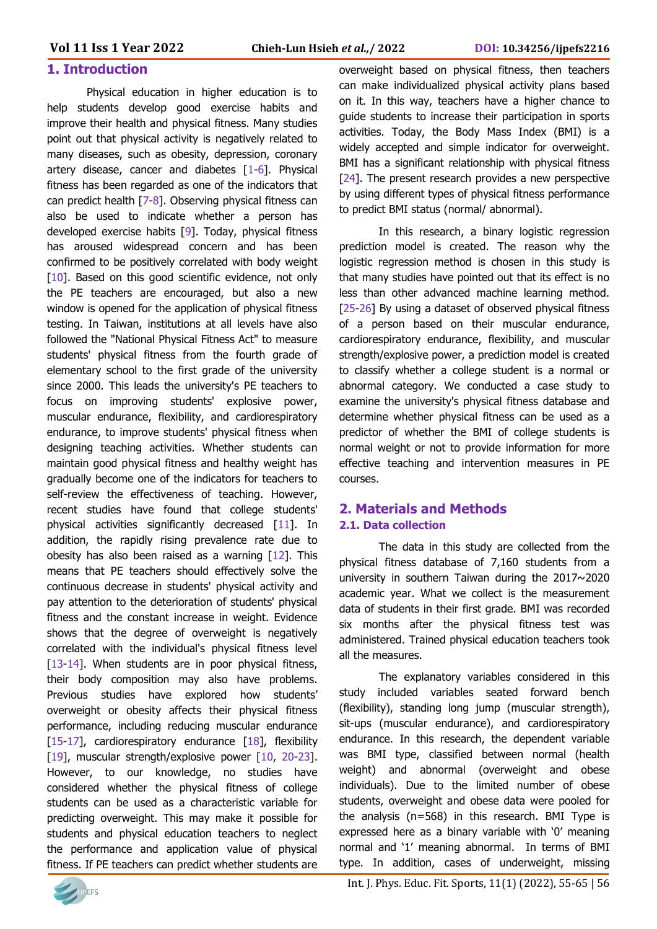#### **1. Introduction**

Physical education in higher education is to help students develop good exercise habits and improve their health and physical fitness. Many studies point out that physical activity is negatively related to many diseases, such as obesity, depression, coronary artery disease, cancer and diabetes [1-6]. Physical fitness has been regarded as one of the indicators that can predict health [7-8]. Observing physical fitness can also be used to indicate whether a person has developed exercise habits [9]. Today, physical fitness has aroused widespread concern and has been confirmed to be positively correlated with body weight [10]. Based on this good scientific evidence, not only the PE teachers are encouraged, but also a new window is opened for the application of physical fitness testing. In Taiwan, institutions at all levels have also followed the "National Physical Fitness Act" to measure students' physical fitness from the fourth grade of elementary school to the first grade of the university since 2000. This leads the university's PE teachers to focus on improving students' explosive power, muscular endurance, flexibility, and cardiorespiratory endurance, to improve students' physical fitness when designing teaching activities. Whether students can maintain good physical fitness and healthy weight has gradually become one of the indicators for teachers to self-review the effectiveness of teaching. However, recent studies have found that college students' physical activities significantly decreased [11]. In addition, the rapidly rising prevalence rate due to obesity has also been raised as a warning [12]. This means that PE teachers should effectively solve the continuous decrease in students' physical activity and pay attention to the deterioration of students' physical fitness and the constant increase in weight. Evidence shows that the degree of overweight is negatively correlated with the individual's physical fitness level [13-14]. When students are in poor physical fitness, their body composition may also have problems. Previous studies have explored how students' overweight or obesity affects their physical fitness performance, including reducing muscular endurance [15-17], cardiorespiratory endurance [18], flexibility [19], muscular strength/explosive power [10, 20-23]. However, to our knowledge, no studies have considered whether the physical fitness of college students can be used as a characteristic variable for predicting overweight. This may make it possible for students and physical education teachers to neglect the performance and application value of physical fitness. If PE teachers can predict whether students are

overweight based on physical fitness, then teachers can make individualized physical activity plans based on it. In this way, teachers have a higher chance to guide students to increase their participation in sports activities. Today, the Body Mass Index (BMI) is a widely accepted and simple indicator for overweight. BMI has a significant relationship with physical fitness [24]. The present research provides a new perspective by using different types of physical fitness performance to predict BMI status (normal/ abnormal).

In this research, a binary logistic regression prediction model is created. The reason why the logistic regression method is chosen in this study is that many studies have pointed out that its effect is no less than other advanced machine learning method. [25-26] By using a dataset of observed physical fitness of a person based on their muscular endurance, cardiorespiratory endurance, flexibility, and muscular strength/explosive power, a prediction model is created to classify whether a college student is a normal or abnormal category. We conducted a case study to examine the university's physical fitness database and determine whether physical fitness can be used as a predictor of whether the BMI of college students is normal weight or not to provide information for more effective teaching and intervention measures in PE courses.

#### **2. Materials and Methods 2.1. Data collection**

The data in this study are collected from the physical fitness database of 7,160 students from a university in southern Taiwan during the 2017~2020 academic year. What we collect is the measurement data of students in their first grade. BMI was recorded six months after the physical fitness test was administered. Trained physical education teachers took all the measures.

The explanatory variables considered in this study included variables seated forward bench (flexibility), standing long jump (muscular strength), sit-ups (muscular endurance), and cardiorespiratory endurance. In this research, the dependent variable was BMI type, classified between normal (health weight) and abnormal (overweight and obese individuals). Due to the limited number of obese students, overweight and obese data were pooled for the analysis (n=568) in this research. BMI Type is expressed here as a binary variable with '0' meaning normal and '1' meaning abnormal. In terms of BMI type. In addition, cases of underweight, missing

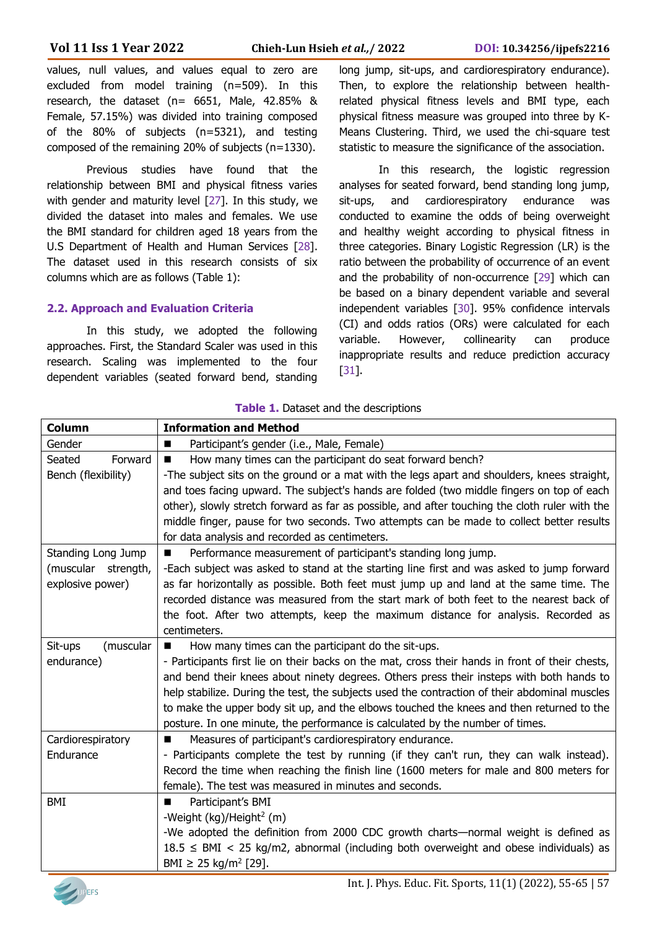values, null values, and values equal to zero are excluded from model training (n=509). In this research, the dataset (n= 6651, Male, 42.85% & Female, 57.15%) was divided into training composed of the 80% of subjects (n=5321), and testing composed of the remaining 20% of subjects (n=1330).

Previous studies have found that the relationship between BMI and physical fitness varies with gender and maturity level [27]. In this study, we divided the dataset into males and females. We use the BMI standard for children aged 18 years from the U.S Department of Health and Human Services [28]. The dataset used in this research consists of six columns which are as follows (Table 1):

#### **2.2. Approach and Evaluation Criteria**

In this study, we adopted the following approaches. First, the Standard Scaler was used in this research. Scaling was implemented to the four dependent variables (seated forward bend, standing long jump, sit-ups, and cardiorespiratory endurance). Then, to explore the relationship between healthrelated physical fitness levels and BMI type, each physical fitness measure was grouped into three by K-Means Clustering. Third, we used the chi-square test statistic to measure the significance of the association.

In this research, the logistic regression analyses for seated forward, bend standing long jump, sit-ups, and cardiorespiratory endurance was conducted to examine the odds of being overweight and healthy weight according to physical fitness in three categories. Binary Logistic Regression (LR) is the ratio between the probability of occurrence of an event and the probability of non-occurrence [29] which can be based on a binary dependent variable and several independent variables [30]. 95% confidence intervals (CI) and odds ratios (ORs) were calculated for each variable. However, collinearity can produce inappropriate results and reduce prediction accuracy [31].

| Column               | <b>Information and Method</b>                                                                   |
|----------------------|-------------------------------------------------------------------------------------------------|
| Gender               | Participant's gender (i.e., Male, Female)<br>п                                                  |
| Forward<br>Seated    | How many times can the participant do seat forward bench?                                       |
| Bench (flexibility)  | -The subject sits on the ground or a mat with the legs apart and shoulders, knees straight,     |
|                      | and toes facing upward. The subject's hands are folded (two middle fingers on top of each       |
|                      | other), slowly stretch forward as far as possible, and after touching the cloth ruler with the  |
|                      | middle finger, pause for two seconds. Two attempts can be made to collect better results        |
|                      | for data analysis and recorded as centimeters.                                                  |
| Standing Long Jump   | Performance measurement of participant's standing long jump.<br>п                               |
| (muscular strength,  | -Each subject was asked to stand at the starting line first and was asked to jump forward       |
| explosive power)     | as far horizontally as possible. Both feet must jump up and land at the same time. The          |
|                      | recorded distance was measured from the start mark of both feet to the nearest back of          |
|                      | the foot. After two attempts, keep the maximum distance for analysis. Recorded as               |
|                      | centimeters.                                                                                    |
| (muscular<br>Sit-ups | How many times can the participant do the sit-ups.<br>■                                         |
| endurance)           | - Participants first lie on their backs on the mat, cross their hands in front of their chests, |
|                      | and bend their knees about ninety degrees. Others press their insteps with both hands to        |
|                      | help stabilize. During the test, the subjects used the contraction of their abdominal muscles   |
|                      | to make the upper body sit up, and the elbows touched the knees and then returned to the        |
|                      | posture. In one minute, the performance is calculated by the number of times.                   |
| Cardiorespiratory    | Measures of participant's cardiorespiratory endurance.<br>ш                                     |
| Endurance            | - Participants complete the test by running (if they can't run, they can walk instead).         |
|                      | Record the time when reaching the finish line (1600 meters for male and 800 meters for          |
|                      | female). The test was measured in minutes and seconds.                                          |
| BMI                  | Participant's BMI<br>■                                                                          |
|                      | -Weight (kg)/Height <sup>2</sup> (m)                                                            |
|                      | -We adopted the definition from 2000 CDC growth charts—normal weight is defined as              |
|                      | $18.5 \leq BMI < 25$ kg/m2, abnormal (including both overweight and obese individuals) as       |
|                      | BMI $\geq$ 25 kg/m <sup>2</sup> [29].                                                           |

**Table 1.** Dataset and the descriptions

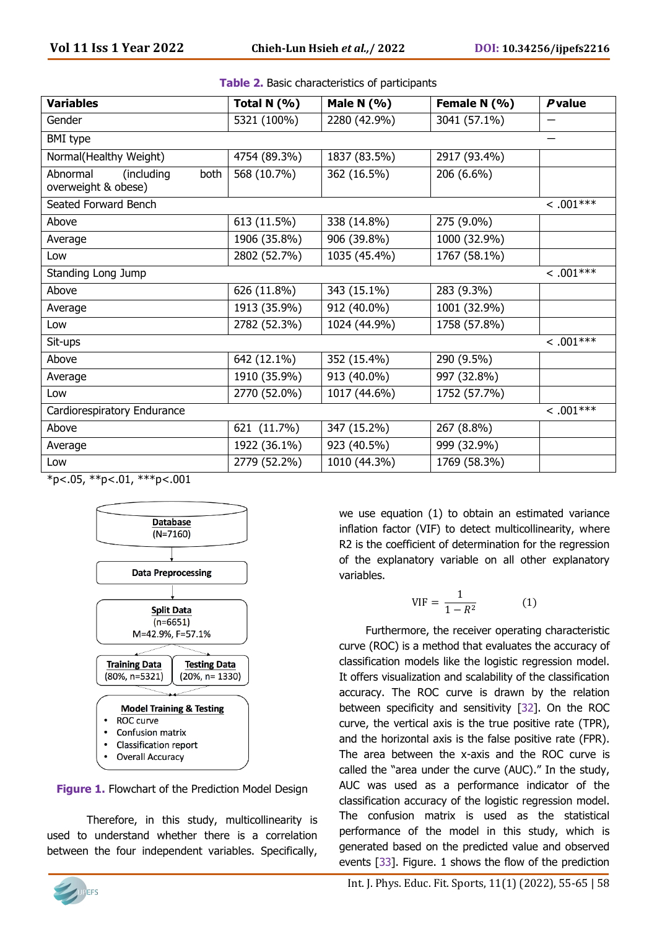| <b>Variables</b>                                      | Total N (%)  | Male N $(% )$ | Female N (%) | <b>P</b> value |
|-------------------------------------------------------|--------------|---------------|--------------|----------------|
| Gender                                                | 5321 (100%)  | 2280 (42.9%)  | 3041 (57.1%) |                |
| <b>BMI</b> type                                       |              |               |              |                |
| Normal(Healthy Weight)                                | 4754 (89.3%) | 1837 (83.5%)  | 2917 (93.4%) |                |
| Abnormal<br>(including<br>both<br>overweight & obese) | 568 (10.7%)  | 362 (16.5%)   | 206 (6.6%)   |                |
| Seated Forward Bench                                  |              |               |              | $< .001***$    |
| Above                                                 | 613 (11.5%)  | 338 (14.8%)   | 275 (9.0%)   |                |
| Average                                               | 1906 (35.8%) | 906 (39.8%)   | 1000 (32.9%) |                |
| Low                                                   | 2802 (52.7%) | 1035 (45.4%)  | 1767 (58.1%) |                |
| Standing Long Jump                                    |              |               |              | $< .001***$    |
| Above                                                 | 626 (11.8%)  | 343 (15.1%)   | 283 (9.3%)   |                |
| Average                                               | 1913 (35.9%) | 912 (40.0%)   | 1001 (32.9%) |                |
| Low                                                   | 2782 (52.3%) | 1024 (44.9%)  | 1758 (57.8%) |                |
| Sit-ups                                               |              |               |              | $\sim .001***$ |
| Above                                                 | 642 (12.1%)  | 352 (15.4%)   | 290 (9.5%)   |                |
| Average                                               | 1910 (35.9%) | 913 (40.0%)   | 997 (32.8%)  |                |
| Low                                                   | 2770 (52.0%) | 1017 (44.6%)  | 1752 (57.7%) |                |
| Cardiorespiratory Endurance                           |              |               |              | $\sim .001***$ |
| Above                                                 | 621 (11.7%)  | 347 (15.2%)   | 267 (8.8%)   |                |
| Average                                               | 1922 (36.1%) | 923 (40.5%)   | 999 (32.9%)  |                |
| Low<br>a martin and delivery                          | 2779 (52.2%) | 1010 (44.3%)  | 1769 (58.3%) |                |

| Table 2. Basic characteristics of participants |
|------------------------------------------------|
|------------------------------------------------|

 $*p<.05$ ,  $*p<.01$ ,  $**p<.001$ 





Therefore, in this study, multicollinearity is used to understand whether there is a correlation between the four independent variables. Specifically,

we use equation (1) to obtain an estimated variance inflation factor (VIF) to detect multicollinearity, where R2 is the coefficient of determination for the regression of the explanatory variable on all other explanatory variables.

$$
VIF = \frac{1}{1 - R^2} \tag{1}
$$

Furthermore, the receiver operating characteristic curve (ROC) is a method that evaluates the accuracy of classification models like the logistic regression model. It offers visualization and scalability of the classification accuracy. The ROC curve is drawn by the relation between specificity and sensitivity [32]. On the ROC curve, the vertical axis is the true positive rate (TPR), and the horizontal axis is the false positive rate (FPR). The area between the x-axis and the ROC curve is called the "area under the curve (AUC)." In the study, AUC was used as a performance indicator of the classification accuracy of the logistic regression model. The confusion matrix is used as the statistical performance of the model in this study, which is generated based on the predicted value and observed events [33]. Figure. 1 shows the flow of the prediction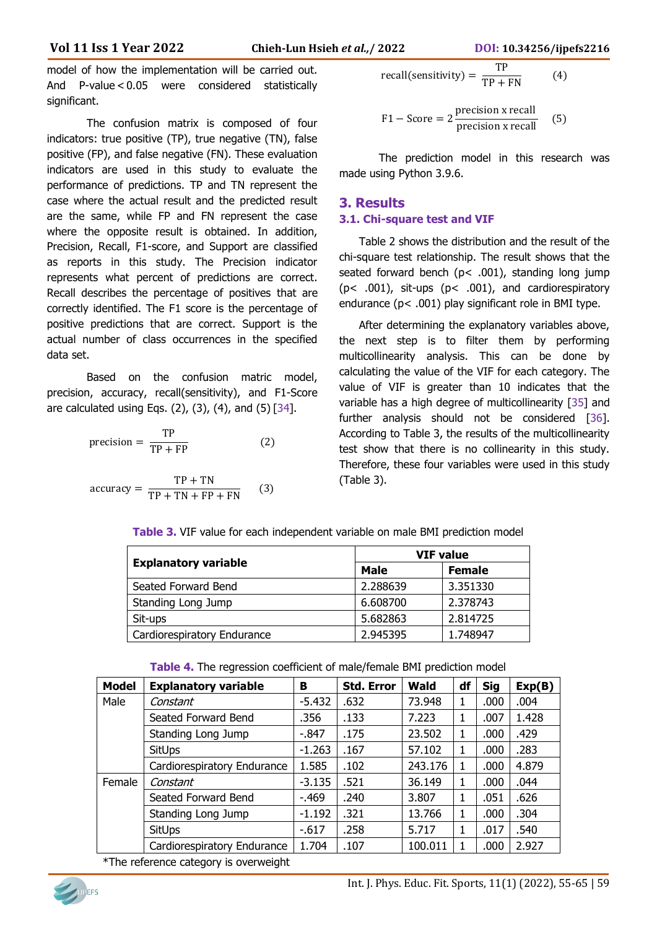model of how the implementation will be carried out. And P-value < 0.05 were considered statistically significant.

The confusion matrix is composed of four indicators: true positive (TP), true negative (TN), false positive (FP), and false negative (FN). These evaluation indicators are used in this study to evaluate the performance of predictions. TP and TN represent the case where the actual result and the predicted result are the same, while FP and FN represent the case where the opposite result is obtained. In addition, Precision, Recall, F1-score, and Support are classified as reports in this study. The Precision indicator represents what percent of predictions are correct. Recall describes the percentage of positives that are correctly identified. The F1 score is the percentage of positive predictions that are correct. Support is the actual number of class occurrences in the specified data set.

Based on the confusion matric model, precision, accuracy, recall(sensitivity), and F1-Score are calculated using Eqs.  $(2)$ ,  $(3)$ ,  $(4)$ , and  $(5)$   $[34]$ .

$$
precision = \frac{TP}{TP + FP}
$$
 (2)

$$
accuracy = \frac{TP + TN}{TP + TN + FP + FN}
$$
 (3)

recall(sensitivity) =  $\frac{TP}{TP + FN}$  (4)

$$
F1 - Score = 2 \frac{precision x recall}{precision x recall}
$$
 (5)

The prediction model in this research was made using Python 3.9.6.

#### **3. Results 3.1. Chi-square test and VIF**

Table 2 shows the distribution and the result of the chi-square test relationship. The result shows that the seated forward bench (p< .001), standing long jump (p< .001), sit-ups (p< .001), and cardiorespiratory endurance (p< .001) play significant role in BMI type.

After determining the explanatory variables above, the next step is to filter them by performing multicollinearity analysis. This can be done by calculating the value of the VIF for each category. The value of VIF is greater than 10 indicates that the variable has a high degree of multicollinearity [35] and further analysis should not be considered [36]. According to Table 3, the results of the multicollinearity test show that there is no collinearity in this study. Therefore, these four variables were used in this study (Table 3).

|                             |          | <b>VIF value</b> |  |  |
|-----------------------------|----------|------------------|--|--|
| <b>Explanatory variable</b> | Male     | <b>Female</b>    |  |  |
| Seated Forward Bend         | 2.288639 | 3.351330         |  |  |
| Standing Long Jump          | 6.608700 | 2.378743         |  |  |
| Sit-ups                     | 5.682863 | 2.814725         |  |  |
| Cardiorespiratory Endurance | 2.945395 | 1.748947         |  |  |

**Table 3.** VIF value for each independent variable on male BMI prediction model

| Table 4. The regression coefficient of male/female BMI prediction model |  |  |  |  |
|-------------------------------------------------------------------------|--|--|--|--|
|-------------------------------------------------------------------------|--|--|--|--|

| <b>Model</b> | <b>Explanatory variable</b> | в        | <b>Std. Error</b> | Wald    | df | <b>Sig</b> | Exp(B) |
|--------------|-----------------------------|----------|-------------------|---------|----|------------|--------|
| Male         | Constant                    | $-5.432$ | .632              | 73.948  | 1  | .000       | .004   |
|              | Seated Forward Bend         | .356     | .133              | 7.223   | 1  | .007       | 1.428  |
|              | Standing Long Jump          | -.847    | .175              | 23.502  | 1  | .000       | .429   |
|              | <b>SitUps</b>               | $-1.263$ | .167              | 57.102  | 1  | .000       | .283   |
|              | Cardiorespiratory Endurance | 1.585    | .102              | 243.176 |    | .000       | 4.879  |
| Female       | Constant                    | $-3.135$ | .521              | 36.149  |    | .000       | .044   |
|              | Seated Forward Bend         | $-469$   | .240              | 3.807   | 1  | .051       | .626   |
|              | Standing Long Jump          | $-1.192$ | .321              | 13.766  |    | .000       | .304   |
|              | <b>SitUps</b>               | $-.617$  | .258              | 5.717   |    | .017       | .540   |
|              | Cardiorespiratory Endurance | 1.704    | .107              | 100.011 |    | .000       | 2.927  |

\*The reference category is overweight

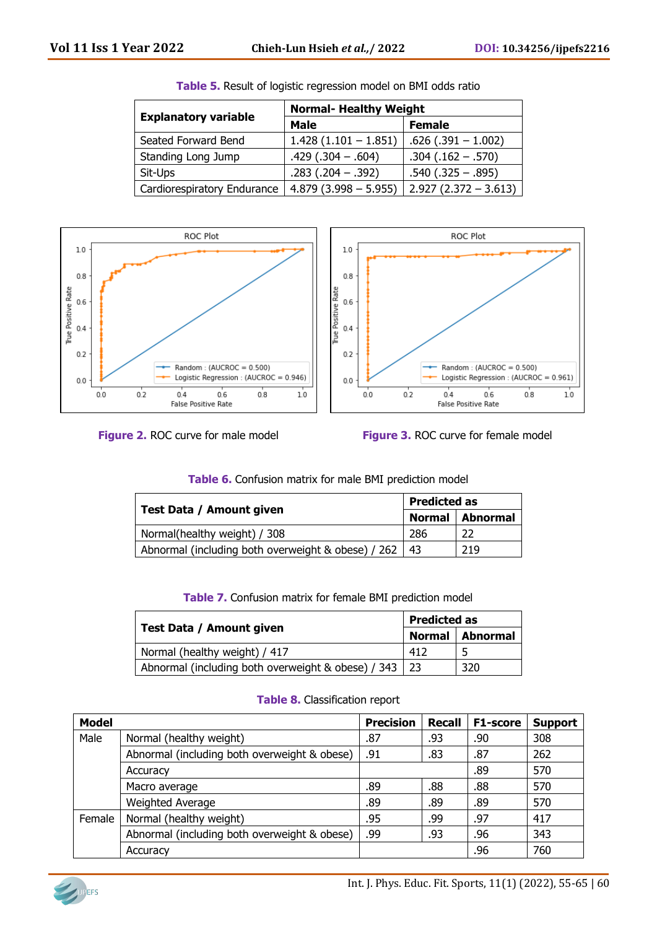|                             | <b>Normal- Healthy Weight</b> |                        |  |
|-----------------------------|-------------------------------|------------------------|--|
| <b>Explanatory variable</b> | <b>Male</b>                   | <b>Female</b>          |  |
| Seated Forward Bend         | $1.428(1.101 - 1.851)$        | $.626(.391 - 1.002)$   |  |
| Standing Long Jump          | $.429(.304-.604)$             | $.304(.162-.570)$      |  |
| Sit-Ups                     | $.283(.204-.392)$             | $.540(.325 - .895)$    |  |
| Cardiorespiratory Endurance | $4.879(3.998 - 5.955)$        | $2.927(2.372 - 3.613)$ |  |









|                                                    | <b>Predicted as</b>       |     |
|----------------------------------------------------|---------------------------|-----|
| <b>Test Data / Amount given</b>                    | <b>Normal</b><br>Abnormal |     |
| Normal(healthy weight) / 308                       | 286                       | 22  |
| Abnormal (including both overweight & obese) / 262 | $\vert$ 43                | 219 |

| Table 6. Confusion matrix for male BMI prediction model |  |  |  |  |
|---------------------------------------------------------|--|--|--|--|
|---------------------------------------------------------|--|--|--|--|

| Table 7. Confusion matrix for female BMI prediction model |  |  |  |  |
|-----------------------------------------------------------|--|--|--|--|
|-----------------------------------------------------------|--|--|--|--|

|                                                         |                   | Predicted as |  |
|---------------------------------------------------------|-------------------|--------------|--|
| Test Data / Amount given                                | Normal   Abnormal |              |  |
| Normal (healthy weight) / 417                           | 412               |              |  |
| Abnormal (including both overweight & obese) / 343   23 |                   | 320          |  |

|  | Table 8. Classification report |  |
|--|--------------------------------|--|
|--|--------------------------------|--|

| <b>Model</b> |                                              | <b>Precision</b> | <b>Recall</b> | <b>F1-score</b> | <b>Support</b> |
|--------------|----------------------------------------------|------------------|---------------|-----------------|----------------|
| Male         | Normal (healthy weight)                      | .87              | .93           | .90             | 308            |
|              | Abnormal (including both overweight & obese) | .91              | .83           | .87             | 262            |
|              | Accuracy                                     |                  |               | .89             | 570            |
|              | Macro average                                | .89              | .88           | .88             | 570            |
|              | Weighted Average                             | .89              | .89           | .89             | 570            |
| Female       | Normal (healthy weight)                      | .95              | .99           | .97             | 417            |
|              | Abnormal (including both overweight & obese) | .99              | .93           | .96             | 343            |
|              | Accuracy                                     |                  |               | .96             | 760            |

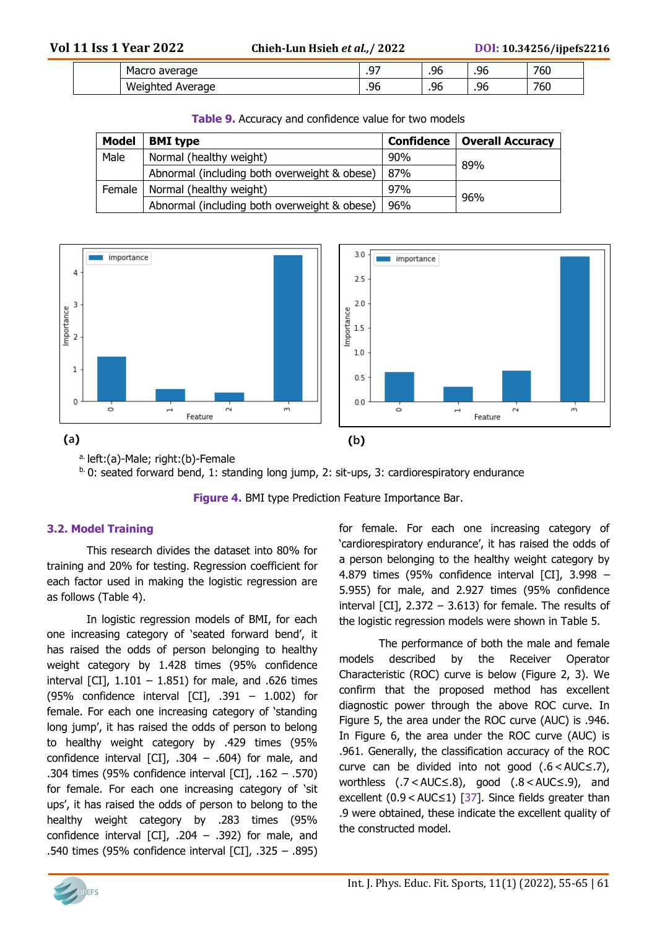|  | ane.<br>nvi -<br>Ίαι                        | $\sim$ $-$<br>. | ሰረ<br>.       | $\sim$<br>٠.μ<br>-1<br>JV.           | ---<br>'bU |
|--|---------------------------------------------|-----------------|---------------|--------------------------------------|------------|
|  | ۱Λ۰<br>age<br>. <i>.</i><br>wer<br>. .<br>- | ◡               | ሰረ<br>--<br>. | $\overline{\phantom{a}}$<br>٠μ<br>9U | ---<br>'6U |

| <b>Table 2.</b> Accuracy and connigence value for two models |                                              |     |                                      |  |  |  |
|--------------------------------------------------------------|----------------------------------------------|-----|--------------------------------------|--|--|--|
| <b>Model</b>                                                 | <b>BMI</b> type                              |     | <b>Confidence   Overall Accuracy</b> |  |  |  |
| Male                                                         | Normal (healthy weight)                      | 90% |                                      |  |  |  |
|                                                              | Abnormal (including both overweight & obese) | 87% | 89%                                  |  |  |  |
|                                                              | Female   Normal (healthy weight)             | 97% |                                      |  |  |  |
|                                                              | Abnormal (including both overweight & obese) | 96% | 96%                                  |  |  |  |

**Table 9.** Accuracy and confidence value for two models



a. left:(a)-Male; right:(b)-Female

b. 0: seated forward bend, 1: standing long jump, 2: sit-ups, 3: cardiorespiratory endurance

**Figure 4.** BMI type Prediction Feature Importance Bar.

#### **3.2. Model Training**

This research divides the dataset into 80% for training and 20% for testing. Regression coefficient for each factor used in making the logistic regression are as follows (Table 4).

In logistic regression models of BMI, for each one increasing category of 'seated forward bend', it has raised the odds of person belonging to healthy weight category by 1.428 times (95% confidence interval [CI],  $1.101 - 1.851$ ) for male, and .626 times (95% confidence interval  $\lceil$ CI $\rceil$ , .391 – 1.002) for female. For each one increasing category of 'standing long jump', it has raised the odds of person to belong to healthy weight category by .429 times (95% confidence interval [CI],  $.304 - .604$  for male, and .304 times (95% confidence interval [CI], .162 – .570) for female. For each one increasing category of 'sit ups', it has raised the odds of person to belong to the healthy weight category by .283 times (95% confidence interval [CI],  $.204 - .392$ ) for male, and .540 times (95% confidence interval [CI], .325 – .895) for female. For each one increasing category of 'cardiorespiratory endurance', it has raised the odds of a person belonging to the healthy weight category by 4.879 times (95% confidence interval [CI], 3.998 – 5.955) for male, and 2.927 times (95% confidence interval [CI],  $2.372 - 3.613$ ) for female. The results of the logistic regression models were shown in Table 5.

The performance of both the male and female models described by the Receiver Operator Characteristic (ROC) curve is below (Figure 2, 3). We confirm that the proposed method has excellent diagnostic power through the above ROC curve. In Figure 5, the area under the ROC curve (AUC) is .946. In Figure 6, the area under the ROC curve (AUC) is .961. Generally, the classification accuracy of the ROC curve can be divided into not good (.6 < AUC≤.7), worthless (.7 < AUC≤.8), good (.8 < AUC≤.9), and excellent (0.9 < AUC≤1) [37]. Since fields greater than .9 were obtained, these indicate the excellent quality of the constructed model.

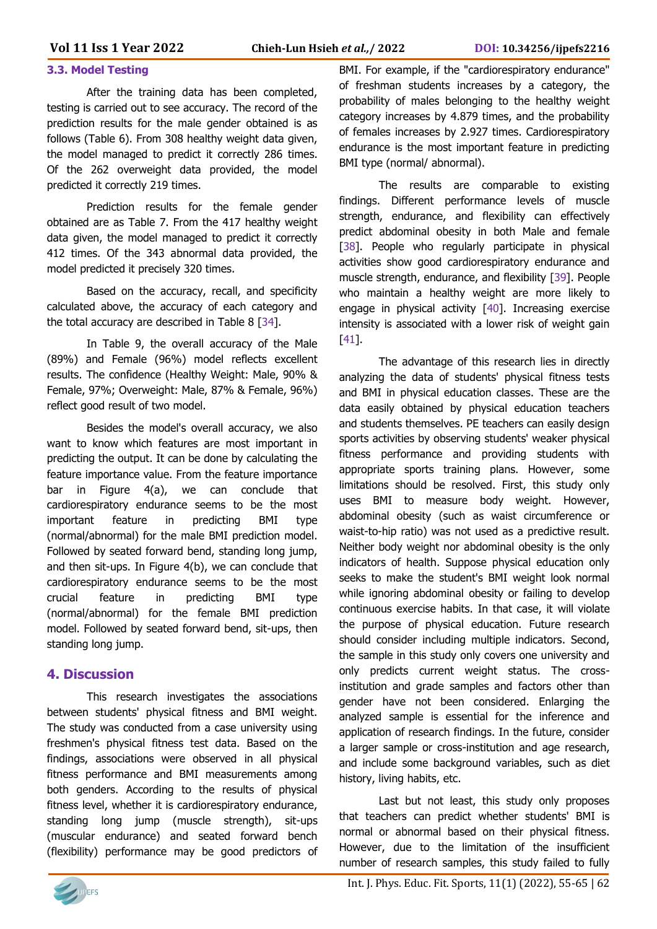#### **3.3. Model Testing**

After the training data has been completed, testing is carried out to see accuracy. The record of the prediction results for the male gender obtained is as follows (Table 6). From 308 healthy weight data given, the model managed to predict it correctly 286 times. Of the 262 overweight data provided, the model predicted it correctly 219 times.

Prediction results for the female gender obtained are as Table 7. From the 417 healthy weight data given, the model managed to predict it correctly 412 times. Of the 343 abnormal data provided, the model predicted it precisely 320 times.

Based on the accuracy, recall, and specificity calculated above, the accuracy of each category and the total accuracy are described in Table 8 [34].

In Table 9, the overall accuracy of the Male (89%) and Female (96%) model reflects excellent results. The confidence (Healthy Weight: Male, 90% & Female, 97%; Overweight: Male, 87% & Female, 96%) reflect good result of two model.

Besides the model's overall accuracy, we also want to know which features are most important in predicting the output. It can be done by calculating the feature importance value. From the feature importance bar in Figure 4(a), we can conclude that cardiorespiratory endurance seems to be the most important feature in predicting BMI type (normal/abnormal) for the male BMI prediction model. Followed by seated forward bend, standing long jump, and then sit-ups. In Figure 4(b), we can conclude that cardiorespiratory endurance seems to be the most crucial feature in predicting BMI type (normal/abnormal) for the female BMI prediction model. Followed by seated forward bend, sit-ups, then standing long jump.

#### **4. Discussion**

This research investigates the associations between students' physical fitness and BMI weight. The study was conducted from a case university using freshmen's physical fitness test data. Based on the findings, associations were observed in all physical fitness performance and BMI measurements among both genders. According to the results of physical fitness level, whether it is cardiorespiratory endurance, standing long jump (muscle strength), sit-ups (muscular endurance) and seated forward bench (flexibility) performance may be good predictors of BMI. For example, if the "cardiorespiratory endurance" of freshman students increases by a category, the probability of males belonging to the healthy weight category increases by 4.879 times, and the probability of females increases by 2.927 times. Cardiorespiratory endurance is the most important feature in predicting BMI type (normal/ abnormal).

The results are comparable to existing findings. Different performance levels of muscle strength, endurance, and flexibility can effectively predict abdominal obesity in both Male and female [38]. People who regularly participate in physical activities show good cardiorespiratory endurance and muscle strength, endurance, and flexibility [39]. People who maintain a healthy weight are more likely to engage in physical activity [40]. Increasing exercise intensity is associated with a lower risk of weight gain [41].

The advantage of this research lies in directly analyzing the data of students' physical fitness tests and BMI in physical education classes. These are the data easily obtained by physical education teachers and students themselves. PE teachers can easily design sports activities by observing students' weaker physical fitness performance and providing students with appropriate sports training plans. However, some limitations should be resolved. First, this study only uses BMI to measure body weight. However, abdominal obesity (such as waist circumference or waist-to-hip ratio) was not used as a predictive result. Neither body weight nor abdominal obesity is the only indicators of health. Suppose physical education only seeks to make the student's BMI weight look normal while ignoring abdominal obesity or failing to develop continuous exercise habits. In that case, it will violate the purpose of physical education. Future research should consider including multiple indicators. Second, the sample in this study only covers one university and only predicts current weight status. The crossinstitution and grade samples and factors other than gender have not been considered. Enlarging the analyzed sample is essential for the inference and application of research findings. In the future, consider a larger sample or cross-institution and age research, and include some background variables, such as diet history, living habits, etc.

Last but not least, this study only proposes that teachers can predict whether students' BMI is normal or abnormal based on their physical fitness. However, due to the limitation of the insufficient number of research samples, this study failed to fully

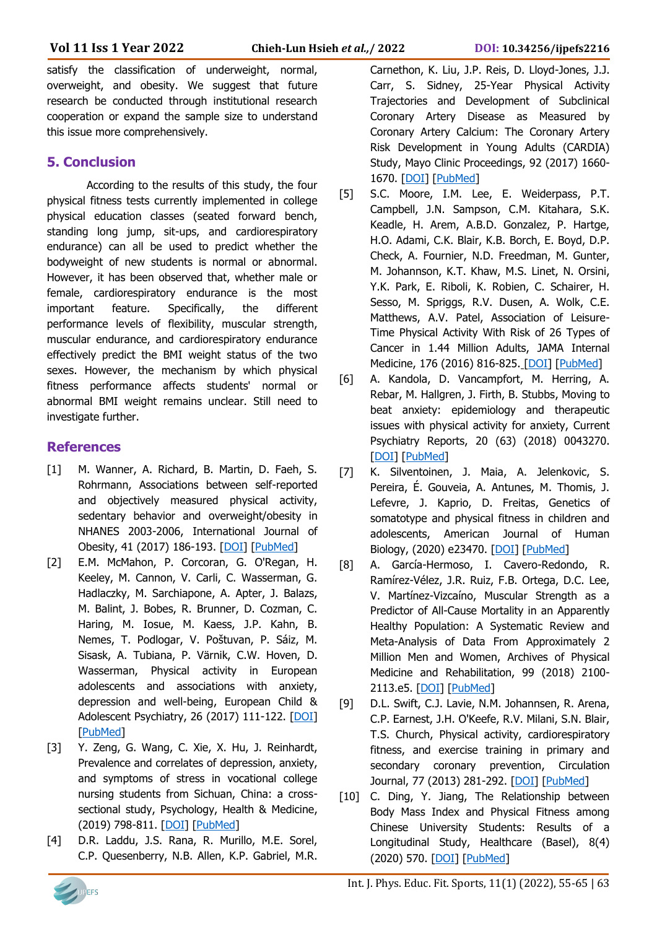satisfy the classification of underweight, normal, overweight, and obesity. We suggest that future research be conducted through institutional research cooperation or expand the sample size to understand this issue more comprehensively.

#### **5. Conclusion**

According to the results of this study, the four physical fitness tests currently implemented in college physical education classes (seated forward bench, standing long jump, sit-ups, and cardiorespiratory endurance) can all be used to predict whether the bodyweight of new students is normal or abnormal. However, it has been observed that, whether male or female, cardiorespiratory endurance is the most important feature. Specifically, the different performance levels of flexibility, muscular strength, muscular endurance, and cardiorespiratory endurance effectively predict the BMI weight status of the two sexes. However, the mechanism by which physical fitness performance affects students' normal or abnormal BMI weight remains unclear. Still need to investigate further.

#### **References**

- [1] M. Wanner, A. Richard, B. Martin, D. Faeh, S. Rohrmann, Associations between self-reported and objectively measured physical activity, sedentary behavior and overweight/obesity in NHANES 2003-2006, International Journal of Obesity, 41 (2017) 186-193. [\[DOI\]](https://doi.org/10.1038/ijo.2016.168) [\[PubMed\]](https://pubmed.ncbi.nlm.nih.gov/27677618/)
- [2] E.M. McMahon, P. Corcoran, G. O'Regan, H. Keeley, M. Cannon, V. Carli, C. Wasserman, G. Hadlaczky, M. Sarchiapone, A. Apter, J. Balazs, M. Balint, J. Bobes, R. Brunner, D. Cozman, C. Haring, M. Iosue, M. Kaess, J.P. Kahn, B. Nemes, T. Podlogar, V. Poštuvan, P. Sáiz, M. Sisask, A. Tubiana, P. Värnik, C.W. Hoven, D. Wasserman, Physical activity in European adolescents and associations with anxiety, depression and well-being, European Child & Adolescent Psychiatry, 26 (2017) 111-122. [\[DOI\]](https://doi.org/10.1007/s00787-016-0875-9) [\[PubMed\]](https://pubmed.ncbi.nlm.nih.gov/27277894/)
- [3] Y. Zeng, G. Wang, C. Xie, X. Hu, J. Reinhardt, Prevalence and correlates of depression, anxiety, and symptoms of stress in vocational college nursing students from Sichuan, China: a crosssectional study, Psychology, Health & Medicine, (2019) 798-811. [\[DOI\]](https://doi.org/10.1080/13548506.2019.1574358) [\[PubMed\]](https://pubmed.ncbi.nlm.nih.gov/30714819/)
- [4] D.R. Laddu, J.S. Rana, R. Murillo, M.E. Sorel, C.P. Quesenberry, N.B. Allen, K.P. Gabriel, M.R.

Carnethon, K. Liu, J.P. Reis, D. Lloyd-Jones, J.J. Carr, S. Sidney, 25-Year Physical Activity Trajectories and Development of Subclinical Coronary Artery Disease as Measured by Coronary Artery Calcium: The Coronary Artery Risk Development in Young Adults (CARDIA) Study, Mayo Clinic Proceedings, 92 (2017) 1660- 1670. [\[DOI\]](https://doi.org/10.1016/j.mayocp.2017.07.016) [\[PubMed\]](https://pubmed.ncbi.nlm.nih.gov/29050797/)

- [5] S.C. Moore, I.M. Lee, E. Weiderpass, P.T. Campbell, J.N. Sampson, C.M. Kitahara, S.K. Keadle, H. Arem, A.B.D. Gonzalez, P. Hartge, H.O. Adami, C.K. Blair, K.B. Borch, E. Boyd, D.P. Check, A. Fournier, N.D. Freedman, M. Gunter, M. Johannson, K.T. Khaw, M.S. Linet, N. Orsini, Y.K. Park, E. Riboli, K. Robien, C. Schairer, H. Sesso, M. Spriggs, R.V. Dusen, A. Wolk, C.E. Matthews, A.V. Patel, Association of Leisure-Time Physical Activity With Risk of 26 Types of Cancer in 1.44 Million Adults, JAMA Internal Medicine, 176 (2016) 816-825. [\[DOI\]](https://doi.org/10.1001/jamainternmed.2016.1548) [\[PubMed\]](https://pubmed.ncbi.nlm.nih.gov/27183032/)
- [6] A. Kandola, D. Vancampfort, M. Herring, A. Rebar, M. Hallgren, J. Firth, B. Stubbs, Moving to beat anxiety: epidemiology and therapeutic issues with physical activity for anxiety, Current Psychiatry Reports, 20 (63) (2018) 0043270. [\[DOI\]](https://doi.org/10.1007/s11920-018-0923-x) [\[PubMed\]](https://pubmed.ncbi.nlm.nih.gov/30043270/)
- [7] K. Silventoinen, J. Maia, A. Jelenkovic, S. Pereira, É. Gouveia, A. Antunes, M. Thomis, J. Lefevre, J. Kaprio, D. Freitas, Genetics of somatotype and physical fitness in children and adolescents, American Journal of Human Biology, (2020) e23470. [\[DOI\]](https://doi.org/10.1002/ajhb.23470) [\[PubMed\]](https://pubmed.ncbi.nlm.nih.gov/32638469/)
- [8] A. García-Hermoso, I. Cavero-Redondo, R. Ramírez-Vélez, J.R. Ruiz, F.B. Ortega, D.C. Lee, V. Martínez-Vizcaíno, Muscular Strength as a Predictor of All-Cause Mortality in an Apparently Healthy Population: A Systematic Review and Meta-Analysis of Data From Approximately 2 Million Men and Women, Archives of Physical Medicine and Rehabilitation, 99 (2018) 2100- 2113.e5. [\[DOI\]](https://doi.org/10.1016/j.apmr.2018.01.008) [\[PubMed\]](https://pubmed.ncbi.nlm.nih.gov/29425700/)
- [9] D.L. Swift, C.J. Lavie, N.M. Johannsen, R. Arena, C.P. Earnest, J.H. O'Keefe, R.V. Milani, S.N. Blair, T.S. Church, Physical activity, cardiorespiratory fitness, and exercise training in primary and secondary coronary prevention, Circulation Journal, 77 (2013) 281-292. [\[DOI\]](https://doi.org/10.1253/circj.cj-13-0007) [\[PubMed\]](https://pubmed.ncbi.nlm.nih.gov/23328449/)
- [10] C. Ding, Y. Jiang, The Relationship between Body Mass Index and Physical Fitness among Chinese University Students: Results of a Longitudinal Study, Healthcare (Basel), 8(4) (2020) 570. [\[DOI\]](https://doi.org/10.3390/healthcare8040570) [\[PubMed\]](https://pubmed.ncbi.nlm.nih.gov/33348642/)

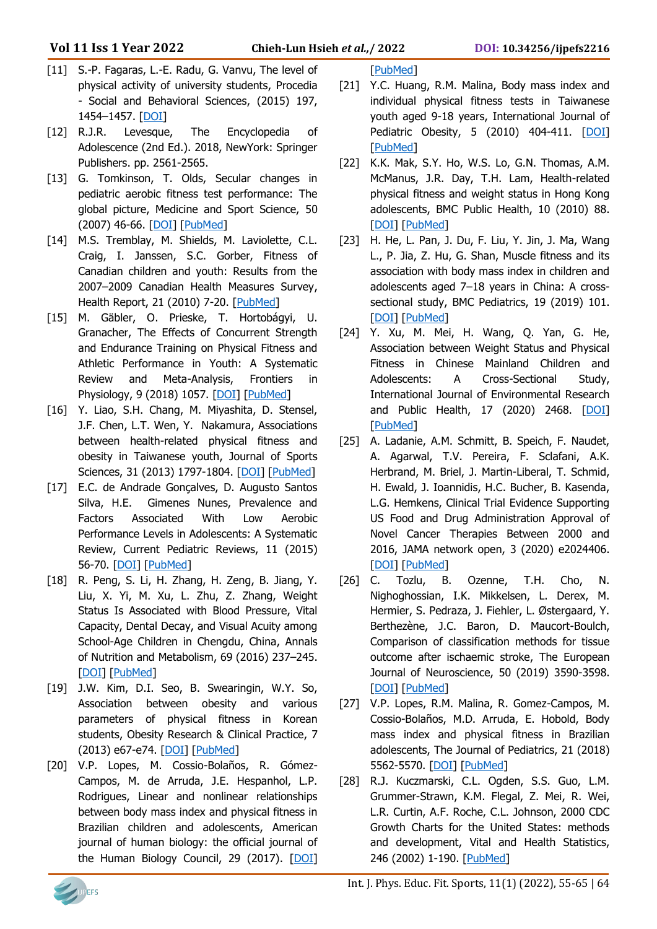- [11] S.-P. Fagaras, L.-E. Radu, G. Vanvu, The level of physical activity of university students, Procedia - Social and Behavioral Sciences, (2015) 197, 1454–1457. [\[DOI\]](https://doi.org/10.1016/j.sbspro.2015.07.094)
- [12] R.J.R. Levesque, The Encyclopedia of Adolescence (2nd Ed.). 2018, NewYork: Springer Publishers. pp. 2561-2565.
- [13] G. Tomkinson, T. Olds, Secular changes in pediatric aerobic fitness test performance: The global picture, Medicine and Sport Science, 50 (2007) 46-66. [\[DOI\]](https://doi.org/10.1159/000101075) [\[PubMed\]](https://pubmed.ncbi.nlm.nih.gov/17387251/)
- [14] M.S. Tremblay, M. Shields, M. Laviolette, C.L. Craig, I. Janssen, S.C. Gorber, Fitness of Canadian children and youth: Results from the 2007–2009 Canadian Health Measures Survey, Health Report, 21 (2010) 7-20. [\[PubMed\]](https://pubmed.ncbi.nlm.nih.gov/20426223/)
- [15] M. Gäbler, O. Prieske, T. Hortobágyi, U. Granacher, The Effects of Concurrent Strength and Endurance Training on Physical Fitness and Athletic Performance in Youth: A Systematic Review and Meta-Analysis, Frontiers in Physiology, 9 (2018) 1057. [\[DOI\]](https://doi.org/10.3389/fphys.2018.01057) [\[PubMed\]](https://pubmed.ncbi.nlm.nih.gov/30131714/)
- [16] Y. Liao, S.H. Chang, M. Miyashita, D. Stensel, J.F. Chen, L.T. Wen, Y. Nakamura, Associations between health-related physical fitness and obesity in Taiwanese youth, Journal of Sports Sciences, 31 (2013) 1797-1804. [\[DOI\]](https://doi.org/10.1080/02640414.2013.803588) [\[PubMed\]](https://pubmed.ncbi.nlm.nih.gov/23734753)
- [17] E.C. de Andrade Gonçalves, D. Augusto Santos Silva, H.E. Gimenes Nunes, Prevalence and Factors Associated With Low Aerobic Performance Levels in Adolescents: A Systematic Review, Current Pediatric Reviews, 11 (2015) 56-70. [\[DOI\]](https://doi.org/10.2174/1573396311666150501003435) [\[PubMed\]](https://pubmed.ncbi.nlm.nih.gov/25938376/)
- [18] R. Peng, S. Li, H. Zhang, H. Zeng, B. Jiang, Y. Liu, X. Yi, M. Xu, L. Zhu, Z. Zhang, Weight Status Is Associated with Blood Pressure, Vital Capacity, Dental Decay, and Visual Acuity among School-Age Children in Chengdu, China, Annals of Nutrition and Metabolism, 69 (2016) 237–245. [\[DOI\]](https://doi.org/10.1159/000454888) [\[PubMed\]](https://pubmed.ncbi.nlm.nih.gov/28013297)
- [19] J.W. Kim, D.I. Seo, B. Swearingin, W.Y. So, Association between obesity and various parameters of physical fitness in Korean students, Obesity Research & Clinical Practice, 7 (2013) e67-e74. [\[DOI\]](https://doi.org/10.1016/j.orcp.2011.09.003) [\[PubMed\]](https://pubmed.ncbi.nlm.nih.gov/24331683/)
- [20] V.P. Lopes, M. Cossio-Bolaños, R. Gómez-Campos, M. de Arruda, J.E. Hespanhol, L.P. Rodrigues, Linear and nonlinear relationships between body mass index and physical fitness in Brazilian children and adolescents, American journal of human biology: the official journal of the Human Biology Council, 29 (2017). [\[DOI\]](https://doi.org/10.1002/ajhb.23035)

#### [\[PubMed\]](https://pubmed.ncbi.nlm.nih.gov/28681419/)

- [21] Y.C. Huang, R.M. Malina, Body mass index and individual physical fitness tests in Taiwanese youth aged 9-18 years, International Journal of Pediatric Obesity, 5 (2010) 404-411. [\[DOI\]](https://doi.org/10.3109/17477160903497902) [\[PubMed\]](https://pubmed.ncbi.nlm.nih.gov/20429737/)
- [22] K.K. Mak, S.Y. Ho, W.S. Lo, G.N. Thomas, A.M. McManus, J.R. Day, T.H. Lam, Health-related physical fitness and weight status in Hong Kong adolescents, BMC Public Health, 10 (2010) 88. [\[DOI\]](https://doi.org/10.1186/1471-2458-10-88) [\[PubMed\]](https://pubmed.ncbi.nlm.nih.gov/20178615/)
- [23] H. He, L. Pan, J. Du, F. Liu, Y. Jin, J. Ma, Wang L., P. Jia, Z. Hu, G. Shan, Muscle fitness and its association with body mass index in children and adolescents aged 7–18 years in China: A crosssectional study, BMC Pediatrics, 19 (2019) 101. [\[DOI\]](https://doi.org/10.1186/s12887-019-1477-8) [\[PubMed\]](https://pubmed.ncbi.nlm.nih.gov/30971224/)
- [24] Y. Xu, M. Mei, H. Wang, Q. Yan, G. He, Association between Weight Status and Physical Fitness in Chinese Mainland Children and Adolescents: A Cross-Sectional Study, International Journal of Environmental Research and Public Health, 17 (2020) 2468. [\[DOI\]](10.3390/ijerph17072468) [\[PubMed\]](https://pubmed.ncbi.nlm.nih.gov/32260379/)
- [25] A. Ladanie, A.M. Schmitt, B. Speich, F. Naudet, A. Agarwal, T.V. Pereira, F. Sclafani, A.K. Herbrand, M. Briel, J. Martin-Liberal, T. Schmid, H. Ewald, J. Ioannidis, H.C. Bucher, B. Kasenda, L.G. Hemkens, Clinical Trial Evidence Supporting US Food and Drug Administration Approval of Novel Cancer Therapies Between 2000 and 2016, JAMA network open, 3 (2020) e2024406. [\[DOI\]](https://doi.org/10.1001/jamanetworkopen.2020.24406) [\[PubMed\]](https://pubmed.ncbi.nlm.nih.gov/33170262/)
- [26] C. Tozlu, B. Ozenne, T.H. Cho, N. Nighoghossian, I.K. Mikkelsen, L. Derex, M. Hermier, S. Pedraza, J. Fiehler, L. Østergaard, Y. Berthezène, J.C. Baron, D. Maucort-Boulch, Comparison of classification methods for tissue outcome after ischaemic stroke, The European Journal of Neuroscience, 50 (2019) 3590-3598. [\[DOI\]](https://doi.org/10.1111/ejn.14507) [\[PubMed\]](https://pubmed.ncbi.nlm.nih.gov/31278787/)
- [27] V.P. Lopes, R.M. Malina, R. Gomez-Campos, M. Cossio-Bolaños, M.D. Arruda, E. Hobold, Body mass index and physical fitness in Brazilian adolescents, The Journal of Pediatrics, 21 (2018) 5562-5570. [\[DOI\]](https://doi.org/10.1016/j.jped.2018.04.003) [\[PubMed\]](https://pubmed.ncbi.nlm.nih.gov/29738742/)
- [28] R.J. Kuczmarski, C.L. Ogden, S.S. Guo, L.M. Grummer-Strawn, K.M. Flegal, Z. Mei, R. Wei, L.R. Curtin, A.F. Roche, C.L. Johnson, 2000 CDC Growth Charts for the United States: methods and development, Vital and Health Statistics, 246 (2002) 1-190. [\[PubMed\]](https://pubmed.ncbi.nlm.nih.gov/12043359/)